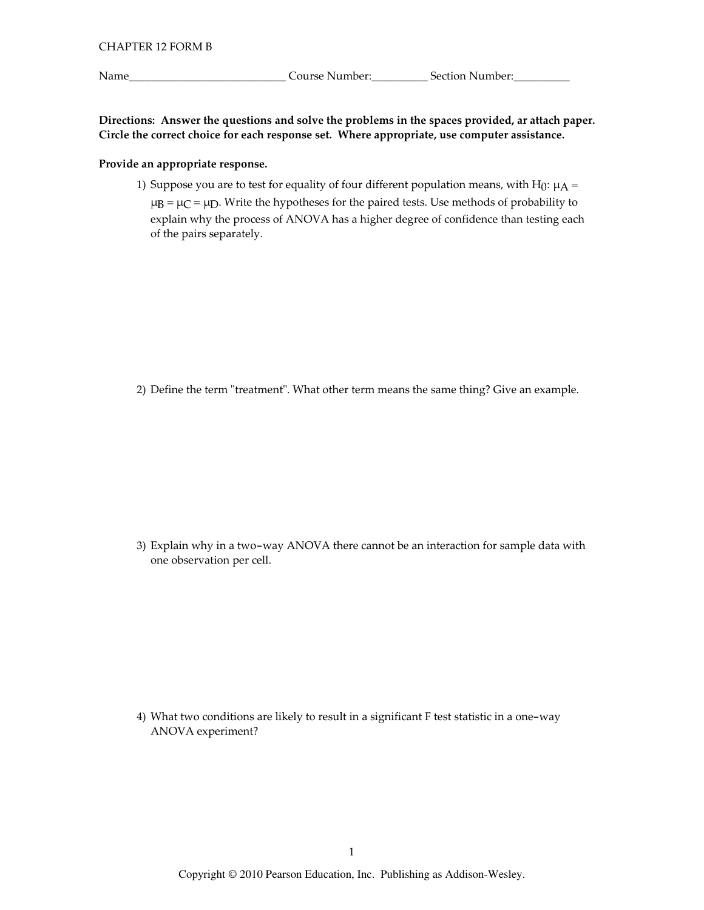Name\_

Directions: Answer the questions and solve the problems in the spaces provided, ar attach paper. Circle the correct choice for each response set. Where appropriate, use computer assistance.

## Provide an appropriate response.

1) Suppose you are to test for equality of four different population means, with H $_0$ :  $\mu$ A =  $\mu$ B =  $\mu$ C =  $\mu$ D. Write the hypotheses for the paired tests. Use methods of probability to explain why the process of ANOVA has a higher degree of confidence than testing each of the pairs separately.

2) Define the term "treatment". What other term means the same thing? Give an example.

3) Explain why in a two-way ANOVA there cannot be an interaction for sample data with one observation per cell.

4) What two conditions are likely to result in a significant F test statistic in a one-way ANOVA experiment?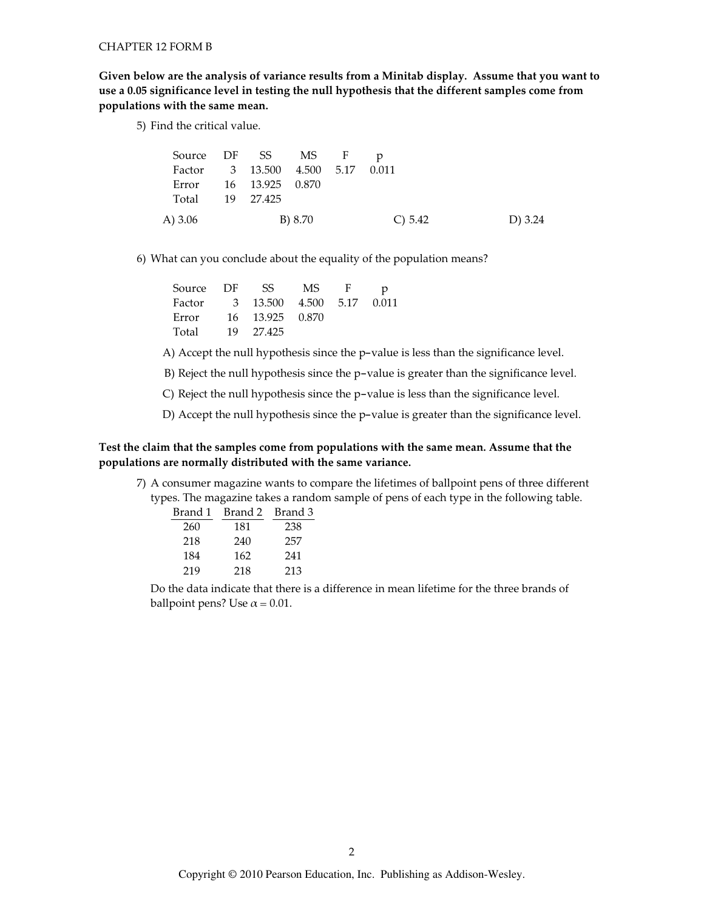Given below are the analysis of variance results from a Minitab display. Assume that you want to use a 0.05 significance level in testing the null hypothesis that the different samples come from populations with the same mean.

5) Find the critical value.

| Source DF SS MS F p              |  |         |           |           |
|----------------------------------|--|---------|-----------|-----------|
| Factor 3 13.500 4.500 5.17 0.011 |  |         |           |           |
| Error 16 13.925 0.870            |  |         |           |           |
| Total 19 27.425                  |  |         |           |           |
| A) 3.06                          |  | B) 8.70 | C) $5.42$ | D) $3.24$ |

6) What can you conclude about the equality of the population means?

| Source DF | SS                               | MS - | $-F$ | p |
|-----------|----------------------------------|------|------|---|
|           | Factor 3 13.500 4.500 5.17 0.011 |      |      |   |
| Error     | 16 13.925 0.870                  |      |      |   |
| Total     | 19 27.425                        |      |      |   |

A) Accept the null hypothesis since the p-value is less than the significance level.

B) Reject the null hypothesis since the p-value is greater than the significance level.

C) Reject the null hypothesis since the p-value is less than the significance level.

D) Accept the null hypothesis since the p-value is greater than the significance level.

# Test the claim that the samples come from populations with the same mean. Assume that the populations are normally distributed with the same variance.

7) A consumer magazine wants to compare the lifetimes of ballpoint pens of three different types. The magazine takes a random sample of pens of each type in the following table.

| Brand 1 | Brand 2 | Brand 3 |
|---------|---------|---------|
| 260     | 181     | 238     |
| 218     | 240     | 257     |
| 184     | 162     | 241     |
| 219     | 218     | 213     |

Do the data indicate that there is a difference in mean lifetime for the three brands of ballpoint pens? Use  $\alpha$  = 0.01.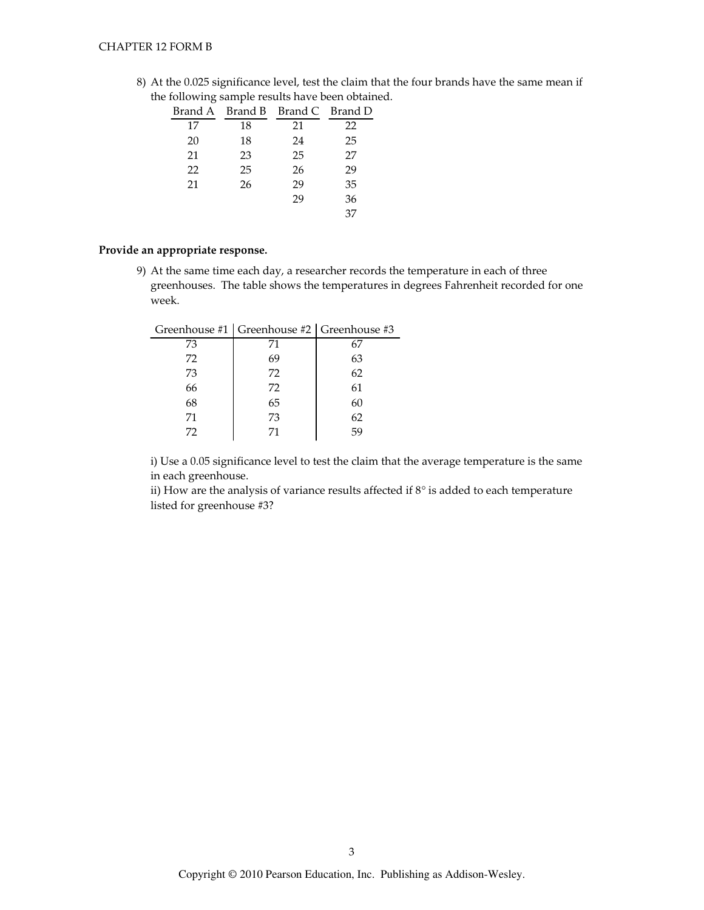8) At the 0.025 significance level, test the claim that the four brands have the same mean if the following sample results have been obtained.

| Brand A |    | Brand B Brand C Brand D |    |
|---------|----|-------------------------|----|
| 17      | 18 | 21                      | 22 |
| 20      | 18 | 24                      | 25 |
| 21      | 23 | 25                      | 27 |
| 22      | 25 | 26                      | 29 |
| 21      | 26 | 29                      | 35 |
|         |    | 29                      | 36 |
|         |    |                         | 37 |

## Provide an appropriate response.

 $\overline{a}$ 

9) At the same time each day, a researcher records the temperature in each of three greenhouses. The table shows the temperatures in degrees Fahrenheit recorded for one week.

| 71 | 67                                            |
|----|-----------------------------------------------|
| 69 | 63                                            |
| 72 | 62                                            |
| 72 | 61                                            |
| 65 | 60                                            |
| 73 | 62                                            |
| 71 | 59                                            |
|    | Greenhouse #1   Greenhouse #2   Greenhouse #3 |

i) Use a 0.05 significance level to test the claim that the average temperature is the same in each greenhouse.

ii) How are the analysis of variance results affected if  $8^\circ$  is added to each temperature listed for greenhouse #3?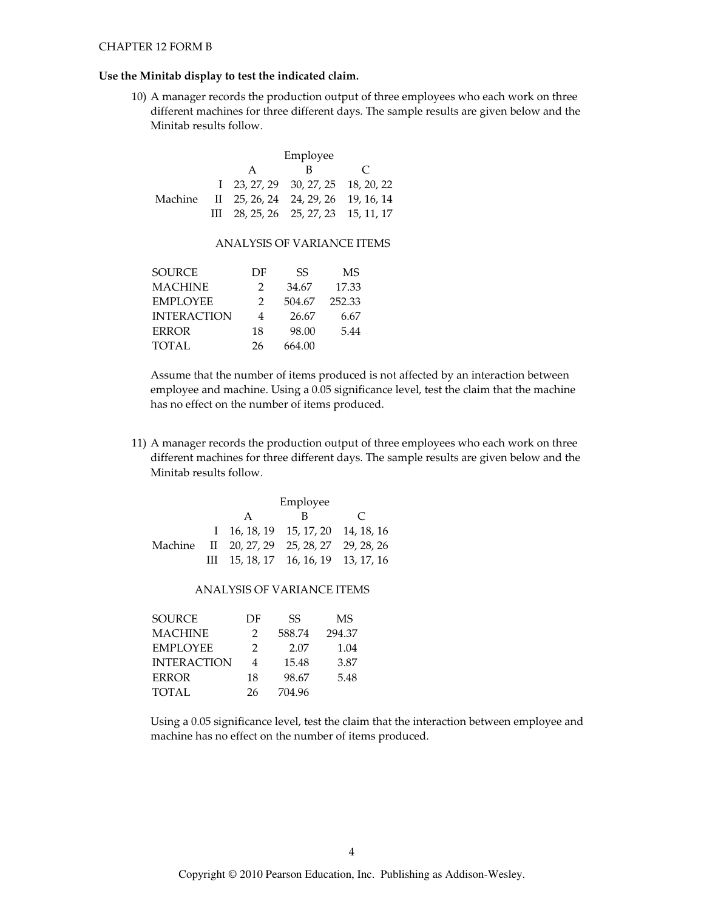#### Use the Minitab display to test the indicated claim.

10) A manager records the production output of three employees who each work on three different machines for three different days. The sample results are given below and the Minitab results follow.

|  | Employee             |                                                     |  |  |  |
|--|----------------------|-----------------------------------------------------|--|--|--|
|  | в<br>$\epsilon$<br>A |                                                     |  |  |  |
|  |                      | $1\quad 23, 27, 29\quad 30, 27, 25\quad 18, 20, 22$ |  |  |  |
|  |                      | Machine II 25, 26, 24 24, 29, 26 19, 16, 14         |  |  |  |
|  |                      | III 28, 25, 26 25, 27, 23 15, 11, 17                |  |  |  |

### **ANALYSIS OF VARIANCE ITEMS**

| DF            | SS     | MS     |
|---------------|--------|--------|
| $\mathcal{P}$ | 34.67  | 17.33  |
| $\mathcal{P}$ | 504.67 | 252.33 |
| 4             | 26.67  | 6.67   |
| 18            | 98.00  | 5.44   |
| 26            | 664.00 |        |
|               |        |        |

Assume that the number of items produced is not affected by an interaction between employee and machine. Using a 0.05 significance level, test the claim that the machine has no effect on the number of items produced.

11) A manager records the production output of three employees who each work on three different machines for three different days. The sample results are given below and the Minitab results follow.

|  | Employee |                                                        |               |  |
|--|----------|--------------------------------------------------------|---------------|--|
|  | A        |                                                        | $\mathcal{C}$ |  |
|  |          | $1 \quad 16, 18, 19 \quad 15, 17, 20 \quad 14, 18, 16$ |               |  |
|  |          | Machine II 20, 27, 29 25, 28, 27 29, 28, 26            |               |  |
|  |          | III $15, 18, 17$ $16, 16, 19$ $13, 17, 16$             |               |  |

## ANALYSIS OF VARIANCE ITEMS

| <b>SOURCE</b>      | DF | SS     | MS     |
|--------------------|----|--------|--------|
| <b>MACHINE</b>     | 2  | 588.74 | 294.37 |
| <b>EMPLOYEE</b>    | 2  | 2.07   | 1.04   |
| <b>INTERACTION</b> | 4  | 15.48  | 3.87   |
| <b>ERROR</b>       | 18 | 98.67  | 5.48   |
| <b>TOTAL</b>       | 26 | 704.96 |        |

Using a 0.05 significance level, test the claim that the interaction between employee and machine has no effect on the number of items produced.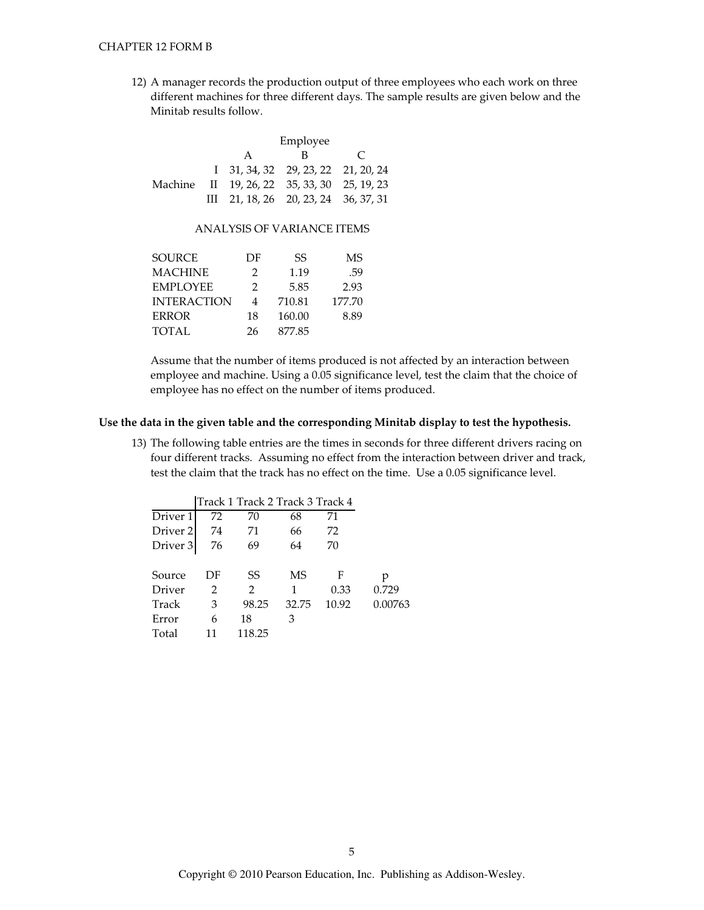12) A manager records the production output of three employees who each work on three different machines for three different days. The sample results are given below and the Minitab results follow.

|  | Employee                                          |                                                     |  |  |  |
|--|---------------------------------------------------|-----------------------------------------------------|--|--|--|
|  | R.<br>$\mathsf{A}$<br>$\mathcal{C}^{\mathcal{A}}$ |                                                     |  |  |  |
|  |                                                   | $1\quad 31, 34, 32\quad 29, 23, 22\quad 21, 20, 24$ |  |  |  |
|  |                                                   | Machine II 19, 26, 22 35, 33, 30 25, 19, 23         |  |  |  |
|  |                                                   | III 21, 18, 26 20, 23, 24 36, 37, 31                |  |  |  |

# ANALYSIS OF VARIANCE ITEMS

| <b>SOURCE</b>      | DF            | SS     | МS     |
|--------------------|---------------|--------|--------|
| <b>MACHINE</b>     | $\mathcal{P}$ | 1.19   | .59    |
| <b>EMPLOYEE</b>    | $\mathcal{P}$ | 5.85   | 2.93   |
| <b>INTERACTION</b> | 4             | 710.81 | 177.70 |
| <b>ERROR</b>       | 18            | 160.00 | 8.89   |
| TOTAL              | 26            | 877.85 |        |
|                    |               |        |        |

Assume that the number of items produced is not affected by an interaction between employee and machine. Using a 0.05 significance level, test the claim that the choice of employee has no effect on the number of items produced.

# Use the data in the given table and the corresponding Minitab display to test the hypothesis.

13) The following table entries are the times in seconds for three different drivers racing on four different tracks. Assuming no effect from the interaction between driver and track, test the claim that the track has no effect on the time. Use a 0.05 significance level.

|                     |    | Track 1 Track 2 Track 3 Track 4 |       |       |         |
|---------------------|----|---------------------------------|-------|-------|---------|
| Driver 1            | 72 | 70                              | 68    | 71    |         |
| Driver <sub>2</sub> | 74 | 71                              | 66    | 72    |         |
| Driver 3            | 76 | 69                              | 64    | 70    |         |
|                     |    |                                 |       |       |         |
| Source              | DF | SS                              | MS    | F     | р       |
| Driver              | 2  | 2                               | 1     | 0.33  | 0.729   |
| Track               | 3  | 98.25                           | 32.75 | 10.92 | 0.00763 |
| Error               | 6  | 18                              | 3     |       |         |
| Total               | 11 | 118.25                          |       |       |         |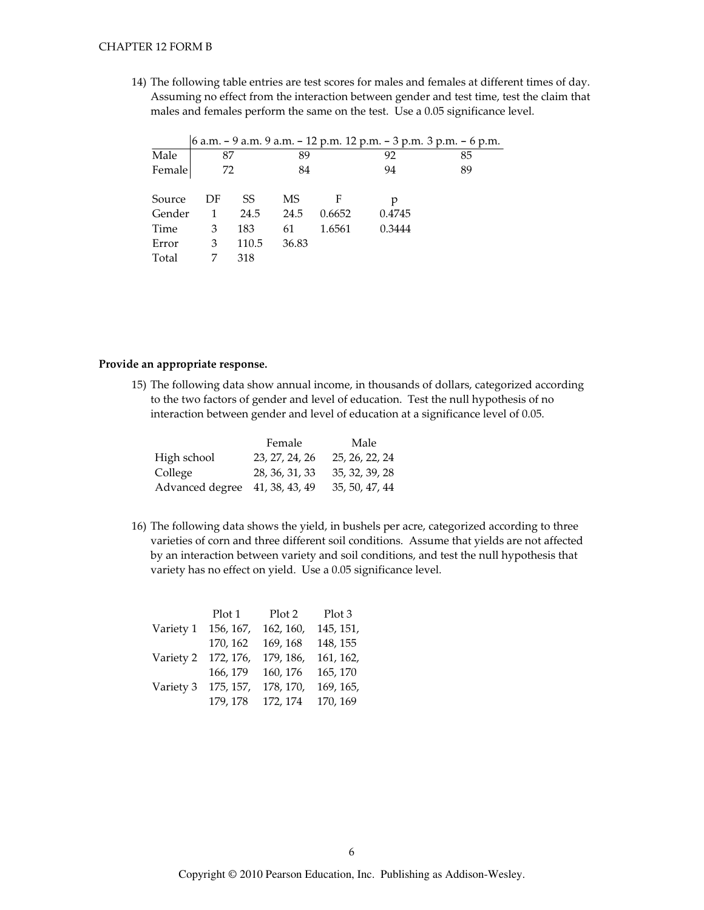14) The following table entries are test scores for males and females at different times of day. Assuming no effect from the interaction between gender and test time, test the claim that males and females perform the same on the test. Use a 0.05 significance level.

|        |    |       |       |        |        | 6 a.m. – 9 a.m. 9 a.m. – 12 p.m. 12 p.m. – 3 p.m. 3 p.m. – 6 p.m. |
|--------|----|-------|-------|--------|--------|-------------------------------------------------------------------|
| Male   | 87 |       | 89    |        | 92     | 85                                                                |
| Female | 72 |       | 84    |        | 94     | 89                                                                |
|        |    |       |       |        |        |                                                                   |
| Source | DF | SS    | MS    |        |        |                                                                   |
| Gender | 1  | 24.5  | 24.5  | 0.6652 | 0.4745 |                                                                   |
| Time   | 3  | 183   | 61    | 1.6561 | 0.3444 |                                                                   |
| Error  | 3  | 110.5 | 36.83 |        |        |                                                                   |
| Total  |    | 318   |       |        |        |                                                                   |

### Provide an appropriate response.

15) The following data show annual income, in thousands of dollars, categorized according to the two factors of gender and level of education. Test the null hypothesis of no interaction between gender and level of education at a significance level of 0.05.

|                                | Female         | Male           |
|--------------------------------|----------------|----------------|
| High school                    | 23, 27, 24, 26 | 25, 26, 22, 24 |
| College                        | 28, 36, 31, 33 | 35, 32, 39, 28 |
| Advanced degree 41, 38, 43, 49 |                | 35, 50, 47, 44 |

16) The following data shows the yield, in bushels per acre, categorized according to three varieties of corn and three different soil conditions. Assume that yields are not affected by an interaction between variety and soil conditions, and test the null hypothesis that variety has no effect on yield. Use a 0.05 significance level.

|           | Plot 1    | Plot 2    | Plot 3    |
|-----------|-----------|-----------|-----------|
| Variety 1 | 156, 167, | 162, 160, | 145, 151, |
|           | 170, 162  | 169, 168  | 148, 155  |
| Variety 2 | 172, 176, | 179, 186. | 161, 162, |
|           | 166, 179  | 160, 176  | 165, 170  |
| Variety 3 | 175, 157, | 178, 170, | 169, 165, |
|           | 179, 178  | 172, 174  | 170, 169  |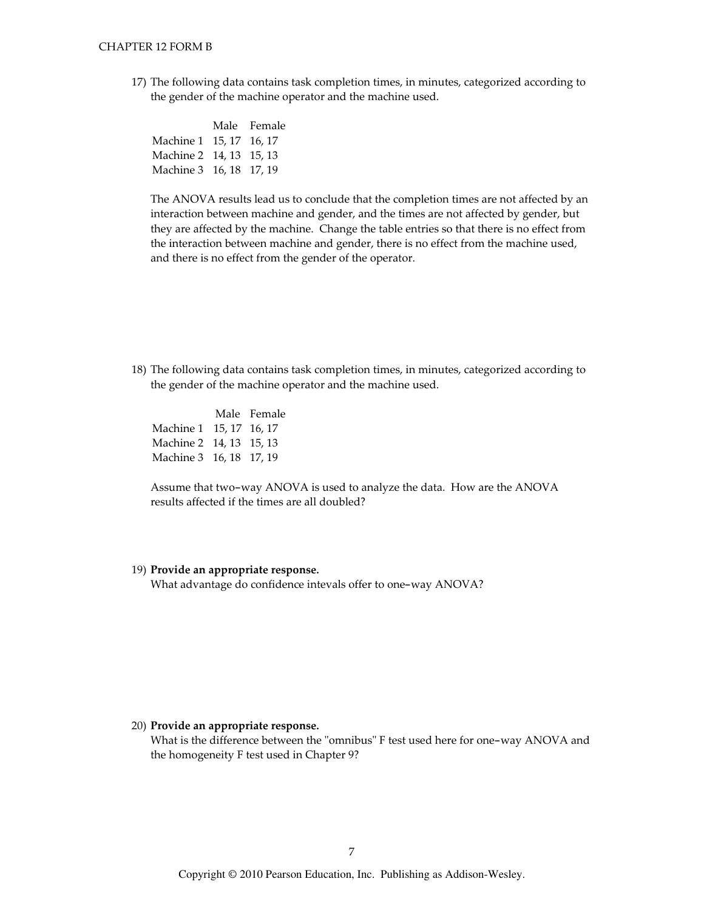17) The following data contains task completion times, in minutes, categorized according to the gender of the machine operator and the machine used.

|                         | Male Female |
|-------------------------|-------------|
| Machine 1 15, 17 16, 17 |             |
| Machine 2 14, 13 15, 13 |             |
| Machine 3 16, 18 17, 19 |             |

The ANOVA results lead us to conclude that the completion times are not affected by an interaction between machine and gender, and the times are not affected by gender, but they are affected by the machine. Change the table entries so that there is no effect from the interaction between machine and gender, there is no effect from the machine used, and there is no effect from the gender of the operator.

18) The following data contains task completion times, in minutes, categorized according to the gender of the machine operator and the machine used.

Male Female Machine 1 15, 17 16, 17 Machine 2 14, 13 15, 13 Machine 3 16, 18 17, 19

Assume that two-way ANOVA is used to analyze the data. How are the ANOVA results affected if the times are all doubled?

#### 19) Provide an appropriate response.

What advantage do confidence intevals offer to one-way ANOVA?

#### 20) Provide an appropriate response.

What is the difference between the "omnibus" F test used here for one-way ANOVA and the homogeneity F test used in Chapter 9?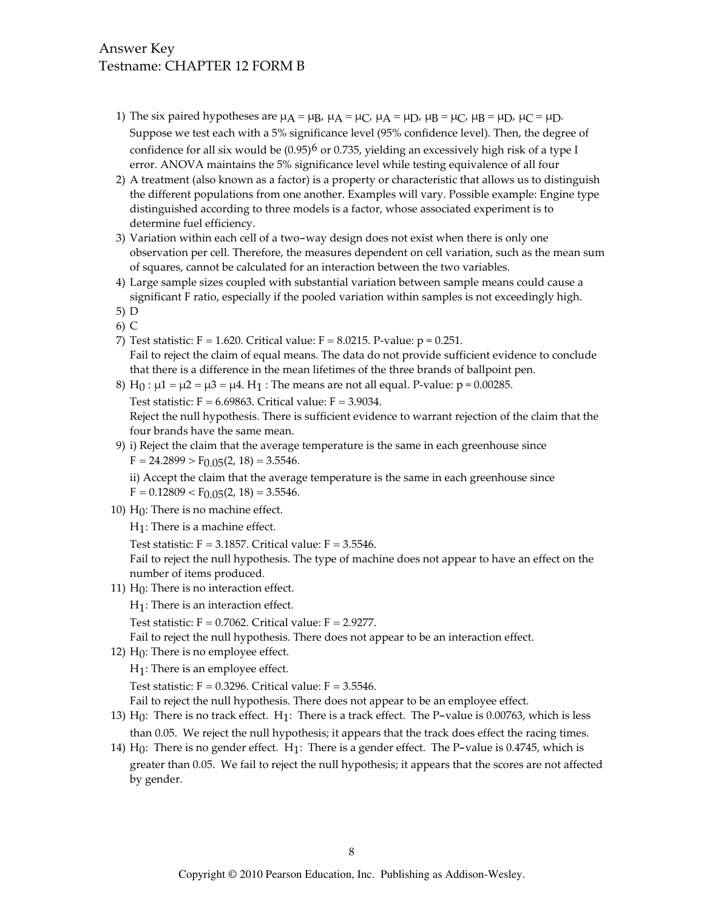# Answer Key Testname: CHAPTER 12 FORM B

- 1) The six paired hypotheses are  $\mu$ A =  $\mu$ B,  $\mu$ A =  $\mu$ C,  $\mu$ A =  $\mu$ D,  $\mu$ B =  $\mu$ C,  $\mu$ B =  $\mu$ D,  $\mu$ C =  $\mu$ D. Suppose we test each with a 5% significance level (95% confidence level). Then, the degree of confidence for all six would be  $(0.95)^6$  or 0.735, yielding an excessively high risk of a type I error. ANOVA maintains the 5% significance level while testing equivalence of all four
- 2) A treatment (also known as a factor) is a property or characteristic that allows us to distinguish the different populations from one another. Examples will vary. Possible example: Engine type distinguished according to three models is a factor, whose associated experiment is to determine fuel efficiency.
- 3) Variation within each cell of a two-way design does not exist when there is only one observation per cell. Therefore, the measures dependent on cell variation, such as the mean sum of squares, cannot be calculated for an interaction between the two variables.
- 4) Large sample sizes coupled with substantial variation between sample means could cause a significant F ratio, especially if the pooled variation within samples is not exceedingly high.
- $5) D$
- $6)$  C
- 7) Test statistic: F = 1.620. Critical value: F = 8.0215. P-value:  $p = 0.251$ . Fail to reject the claim of equal means. The data do not provide sufficient evidence to conclude that there is a difference in the mean lifetimes of the three brands of ballpoint pen.
- 8) H<sub>0</sub> :  $\mu$ 1 =  $\mu$ 2 =  $\mu$ 3 =  $\mu$ 4. H<sub>1</sub> : The means are not all equal. P-value: p = 0.00285.

Test statistic:  $F = 6.69863$ . Critical value:  $F = 3.9034$ .

Reject the null hypothesis. There is sufficient evidence to warrant rejection of the claim that the four brands have the same mean.

9) i) Reject the claim that the average temperature is the same in each greenhouse since  $F = 24.2899 > F_{0.05}(2, 18) = 3.5546.$ 

ii) Accept the claim that the average temperature is the same in each greenhouse since  $F = 0.12809 < F_{0.05}(2, 18) = 3.5546.$ 

- 10)  $H_0$ : There is no machine effect.
	- $H_1$ : There is a machine effect.
	- Test statistic:  $F = 3.1857$ . Critical value:  $F = 3.5546$ .

Fail to reject the null hypothesis. The type of machine does not appear to have an effect on the number of items produced.

11)  $H_0$ : There is no interaction effect.

```
H_1: There is an interaction effect.
```
Test statistic:  $F = 0.7062$ . Critical value:  $F = 2.9277$ .

Fail to reject the null hypothesis. There does not appear to be an interaction effect.

12)  $H_0$ : There is no employee effect.

 $H_1$ : There is an employee effect.

Test statistic:  $F = 0.3296$ . Critical value:  $F = 3.5546$ .

Fail to reject the null hypothesis. There does not appear to be an employee effect.

- 13) H<sub>0</sub>: There is no track effect. H<sub>1</sub>: There is a track effect. The P-value is 0.00763, which is less than 0.05. We reject the null hypothesis; it appears that the track does effect the racing times.
- 14)  $H_0$ : There is no gender effect.  $H_1$ : There is a gender effect. The P-value is 0.4745, which is greater than 0.05. We fail to reject the null hypothesis; it appears that the scores are not affected by gender.